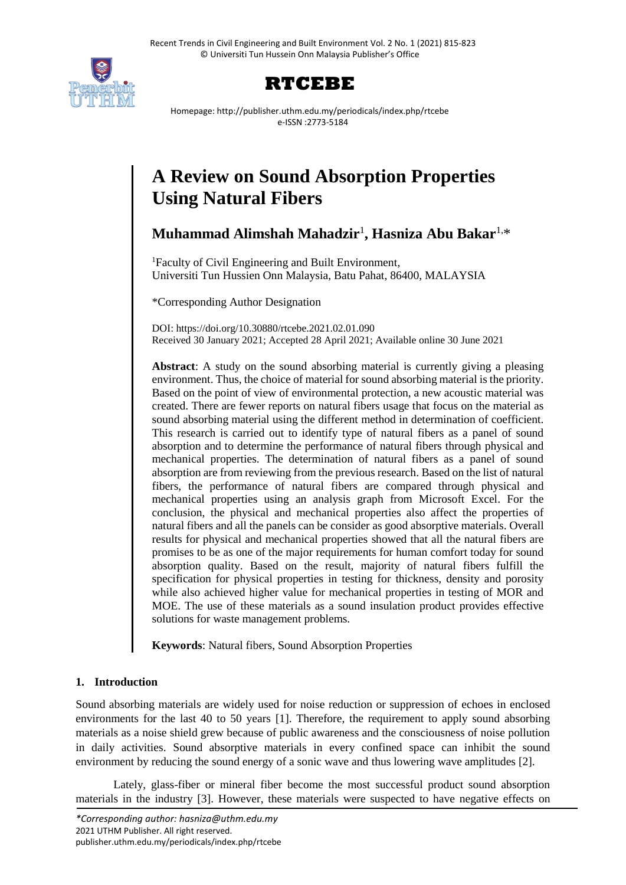



Homepage: http://publisher.uthm.edu.my/periodicals/index.php/rtcebe e-ISSN :2773-5184

# **A Review on Sound Absorption Properties Using Natural Fibers**

**Muhammad Alimshah Mahadzir**<sup>1</sup> **, Hasniza Abu Bakar**1,\*

<sup>1</sup>Faculty of Civil Engineering and Built Environment, Universiti Tun Hussien Onn Malaysia, Batu Pahat, 86400, MALAYSIA

\*Corresponding Author Designation

DOI: https://doi.org/10.30880/rtcebe.2021.02.01.090 Received 30 January 2021; Accepted 28 April 2021; Available online 30 June 2021

**Abstract**: A study on the sound absorbing material is currently giving a pleasing environment. Thus, the choice of material for sound absorbing material is the priority. Based on the point of view of environmental protection, a new acoustic material was created. There are fewer reports on natural fibers usage that focus on the material as sound absorbing material using the different method in determination of coefficient. This research is carried out to identify type of natural fibers as a panel of sound absorption and to determine the performance of natural fibers through physical and mechanical properties. The determination of natural fibers as a panel of sound absorption are from reviewing from the previous research. Based on the list of natural fibers, the performance of natural fibers are compared through physical and mechanical properties using an analysis graph from Microsoft Excel. For the conclusion, the physical and mechanical properties also affect the properties of natural fibers and all the panels can be consider as good absorptive materials. Overall results for physical and mechanical properties showed that all the natural fibers are promises to be as one of the major requirements for human comfort today for sound absorption quality. Based on the result, majority of natural fibers fulfill the specification for physical properties in testing for thickness, density and porosity while also achieved higher value for mechanical properties in testing of MOR and MOE. The use of these materials as a sound insulation product provides effective solutions for waste management problems.

**Keywords**: Natural fibers, Sound Absorption Properties

## **1. Introduction**

Sound absorbing materials are widely used for noise reduction or suppression of echoes in enclosed environments for the last 40 to 50 years [1]. Therefore, the requirement to apply sound absorbing materials as a noise shield grew because of public awareness and the consciousness of noise pollution in daily activities. Sound absorptive materials in every confined space can inhibit the sound environment by reducing the sound energy of a sonic wave and thus lowering wave amplitudes [2].

Lately, glass-fiber or mineral fiber become the most successful product sound absorption materials in the industry [3]. However, these materials were suspected to have negative effects on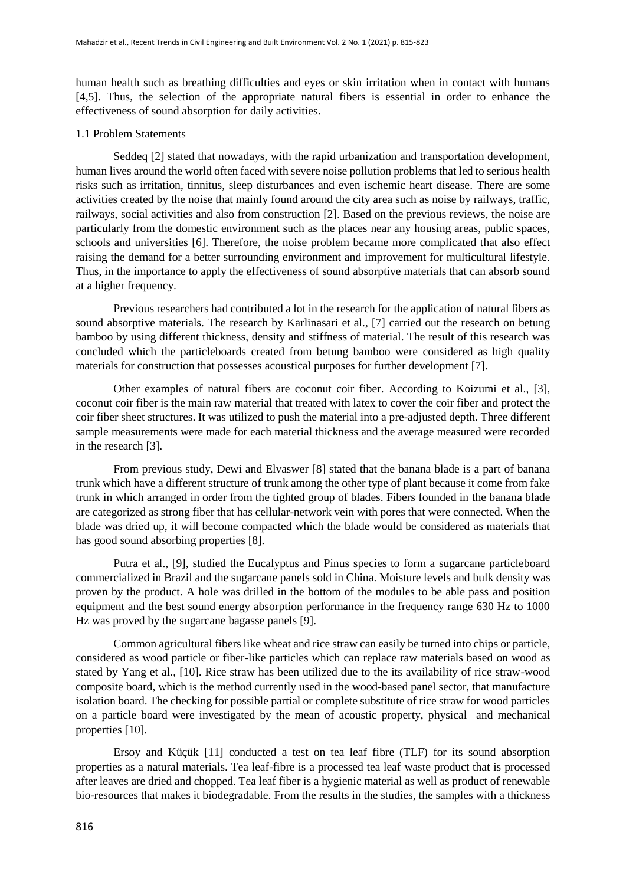human health such as breathing difficulties and eyes or skin irritation when in contact with humans [4,5]. Thus, the selection of the appropriate natural fibers is essential in order to enhance the effectiveness of sound absorption for daily activities.

## 1.1 Problem Statements

Seddeq [2] stated that nowadays, with the rapid urbanization and transportation development, human lives around the world often faced with severe noise pollution problems that led to serious health risks such as irritation, tinnitus, sleep disturbances and even ischemic heart disease. There are some activities created by the noise that mainly found around the city area such as noise by railways, traffic, railways, social activities and also from construction [2]. Based on the previous reviews, the noise are particularly from the domestic environment such as the places near any housing areas, public spaces, schools and universities [6]. Therefore, the noise problem became more complicated that also effect raising the demand for a better surrounding environment and improvement for multicultural lifestyle. Thus, in the importance to apply the effectiveness of sound absorptive materials that can absorb sound at a higher frequency.

Previous researchers had contributed a lot in the research for the application of natural fibers as sound absorptive materials. The research by Karlinasari et al., [7] carried out the research on betung bamboo by using different thickness, density and stiffness of material. The result of this research was concluded which the particleboards created from betung bamboo were considered as high quality materials for construction that possesses acoustical purposes for further development [7].

Other examples of natural fibers are coconut coir fiber. According to Koizumi et al., [3], coconut coir fiber is the main raw material that treated with latex to cover the coir fiber and protect the coir fiber sheet structures. It was utilized to push the material into a pre-adjusted depth. Three different sample measurements were made for each material thickness and the average measured were recorded in the research [3].

From previous study, Dewi and Elvaswer [8] stated that the banana blade is a part of banana trunk which have a different structure of trunk among the other type of plant because it come from fake trunk in which arranged in order from the tighted group of blades. Fibers founded in the banana blade are categorized as strong fiber that has cellular-network vein with pores that were connected. When the blade was dried up, it will become compacted which the blade would be considered as materials that has good sound absorbing properties [8].

Putra et al., [9], studied the Eucalyptus and Pinus species to form a sugarcane particleboard commercialized in Brazil and the sugarcane panels sold in China. Moisture levels and bulk density was proven by the product. A hole was drilled in the bottom of the modules to be able pass and position equipment and the best sound energy absorption performance in the frequency range 630 Hz to 1000 Hz was proved by the sugarcane bagasse panels [9].

Common agricultural fibers like wheat and rice straw can easily be turned into chips or particle, considered as wood particle or fiber-like particles which can replace raw materials based on wood as stated by Yang et al., [10]. Rice straw has been utilized due to the its availability of rice straw-wood composite board, which is the method currently used in the wood-based panel sector, that manufacture isolation board. The checking for possible partial or complete substitute of rice straw for wood particles on a particle board were investigated by the mean of acoustic property, physical and mechanical properties [10].

Ersoy and Küçük [11] conducted a test on tea leaf fibre (TLF) for its sound absorption properties as a natural materials. Tea leaf-fibre is a processed tea leaf waste product that is processed after leaves are dried and chopped. Tea leaf fiber is a hygienic material as well as product of renewable bio-resources that makes it biodegradable. From the results in the studies, the samples with a thickness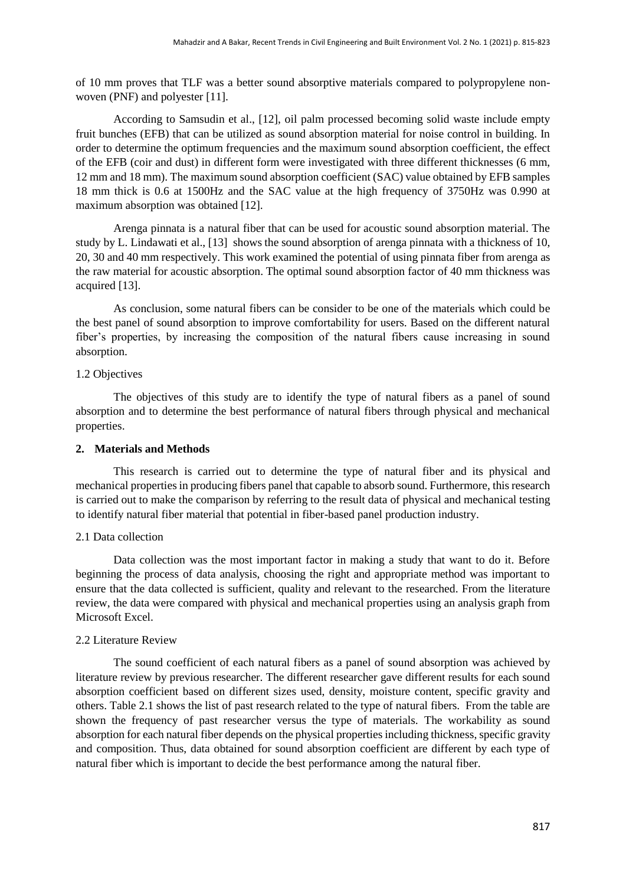of 10 mm proves that TLF was a better sound absorptive materials compared to polypropylene nonwoven (PNF) and polyester [11].

According to Samsudin et al., [12], oil palm processed becoming solid waste include empty fruit bunches (EFB) that can be utilized as sound absorption material for noise control in building. In order to determine the optimum frequencies and the maximum sound absorption coefficient, the effect of the EFB (coir and dust) in different form were investigated with three different thicknesses (6 mm, 12 mm and 18 mm). The maximum sound absorption coefficient (SAC) value obtained by EFB samples 18 mm thick is 0.6 at 1500Hz and the SAC value at the high frequency of 3750Hz was 0.990 at maximum absorption was obtained [12].

Arenga pinnata is a natural fiber that can be used for acoustic sound absorption material. The study by L. Lindawati et al., [13] shows the sound absorption of arenga pinnata with a thickness of 10, 20, 30 and 40 mm respectively. This work examined the potential of using pinnata fiber from arenga as the raw material for acoustic absorption. The optimal sound absorption factor of 40 mm thickness was acquired [13].

As conclusion, some natural fibers can be consider to be one of the materials which could be the best panel of sound absorption to improve comfortability for users. Based on the different natural fiber's properties, by increasing the composition of the natural fibers cause increasing in sound absorption.

## 1.2 Objectives

The objectives of this study are to identify the type of natural fibers as a panel of sound absorption and to determine the best performance of natural fibers through physical and mechanical properties.

#### **2. Materials and Methods**

This research is carried out to determine the type of natural fiber and its physical and mechanical properties in producing fibers panel that capable to absorb sound. Furthermore, this research is carried out to make the comparison by referring to the result data of physical and mechanical testing to identify natural fiber material that potential in fiber-based panel production industry.

#### 2.1 Data collection

Data collection was the most important factor in making a study that want to do it. Before beginning the process of data analysis, choosing the right and appropriate method was important to ensure that the data collected is sufficient, quality and relevant to the researched. From the literature review, the data were compared with physical and mechanical properties using an analysis graph from Microsoft Excel.

#### 2.2 Literature Review

The sound coefficient of each natural fibers as a panel of sound absorption was achieved by literature review by previous researcher. The different researcher gave different results for each sound absorption coefficient based on different sizes used, density, moisture content, specific gravity and others. Table 2.1 shows the list of past research related to the type of natural fibers. From the table are shown the frequency of past researcher versus the type of materials. The workability as sound absorption for each natural fiber depends on the physical properties including thickness, specific gravity and composition. Thus, data obtained for sound absorption coefficient are different by each type of natural fiber which is important to decide the best performance among the natural fiber.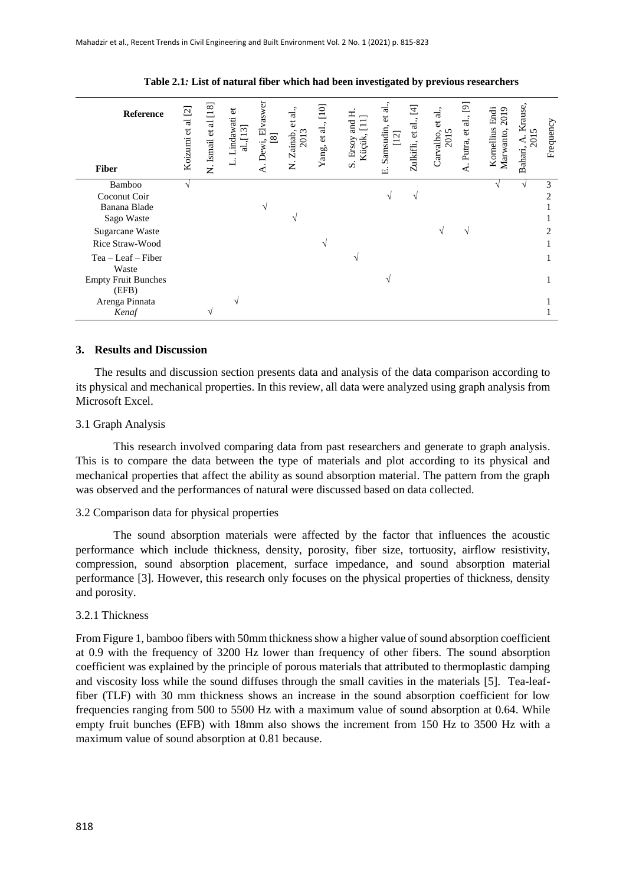| <b>Reference</b><br><b>Fiber</b>                     | $\overline{\omega}$<br>et al<br>Koizumi | [18]<br>ನ<br>$\sigma$<br>N. Ismail | $\vec{c}$<br>Lindawati<br>al.,[13] | Elvaswer<br>$Dewi, b$<br>[8]<br>⋖ | al.,<br>$\sigma$<br>Zainab,<br>2013<br>Ż | [10]<br>Yang, et al., | and<br>Küçük,<br>Ersoy<br>$\dot{\mathbf{v}}$ | et al.<br>Sansudin,<br>$\overline{\mathcal{N}}$<br>цi | $\Xi$<br>Zulkifli, et al., | al.,<br>$\ddot{a}$<br>$\sim \infty$<br>Carvalho<br>201 | $\overline{\mathbb{E}}$<br>al.,<br>Putra, et<br>$\dot{\mathbf{r}}$ | Kornellius Endi<br>2019<br>Marwanto, | Krause,<br>2015<br>$\triangleleft$<br>Bahari, | Frequency      |
|------------------------------------------------------|-----------------------------------------|------------------------------------|------------------------------------|-----------------------------------|------------------------------------------|-----------------------|----------------------------------------------|-------------------------------------------------------|----------------------------|--------------------------------------------------------|--------------------------------------------------------------------|--------------------------------------|-----------------------------------------------|----------------|
| Bamboo<br>Coconut Coir<br>Banana Blade<br>Sago Waste |                                         |                                    |                                    | N                                 |                                          |                       |                                              | ٦                                                     | ٦                          |                                                        |                                                                    |                                      |                                               | 3<br>2         |
| Sugarcane Waste<br>Rice Straw-Wood                   |                                         |                                    |                                    |                                   |                                          |                       |                                              |                                                       |                            | N                                                      | $\mathcal{L}$                                                      |                                      |                                               | $\overline{c}$ |
| $Tea - Leaf - Fiber$<br>Waste                        |                                         |                                    |                                    |                                   |                                          |                       |                                              |                                                       |                            |                                                        |                                                                    |                                      |                                               |                |
| <b>Empty Fruit Bunches</b><br>(EFB)                  |                                         |                                    |                                    |                                   |                                          |                       |                                              |                                                       |                            |                                                        |                                                                    |                                      |                                               |                |
| Arenga Pinnata<br>Kenaf                              |                                         |                                    | $\sim$                             |                                   |                                          |                       |                                              |                                                       |                            |                                                        |                                                                    |                                      |                                               |                |

**Table 2.1***:* **List of natural fiber which had been investigated by previous researchers**

## **3. Results and Discussion**

The results and discussion section presents data and analysis of the data comparison according to its physical and mechanical properties. In this review, all data were analyzed using graph analysis from Microsoft Excel.

#### 3.1 Graph Analysis

This research involved comparing data from past researchers and generate to graph analysis. This is to compare the data between the type of materials and plot according to its physical and mechanical properties that affect the ability as sound absorption material. The pattern from the graph was observed and the performances of natural were discussed based on data collected.

#### 3.2 Comparison data for physical properties

The sound absorption materials were affected by the factor that influences the acoustic performance which include thickness, density, porosity, fiber size, tortuosity, airflow resistivity, compression, sound absorption placement, surface impedance, and sound absorption material performance [3]. However, this research only focuses on the physical properties of thickness, density and porosity.

#### 3.2.1 Thickness

From Figure 1, bamboo fibers with 50mm thickness show a higher value of sound absorption coefficient at 0.9 with the frequency of 3200 Hz lower than frequency of other fibers. The sound absorption coefficient was explained by the principle of porous materials that attributed to thermoplastic damping and viscosity loss while the sound diffuses through the small cavities in the materials [5]. Tea-leaffiber (TLF) with 30 mm thickness shows an increase in the sound absorption coefficient for low frequencies ranging from 500 to 5500 Hz with a maximum value of sound absorption at 0.64. While empty fruit bunches (EFB) with 18mm also shows the increment from 150 Hz to 3500 Hz with a maximum value of sound absorption at 0.81 because.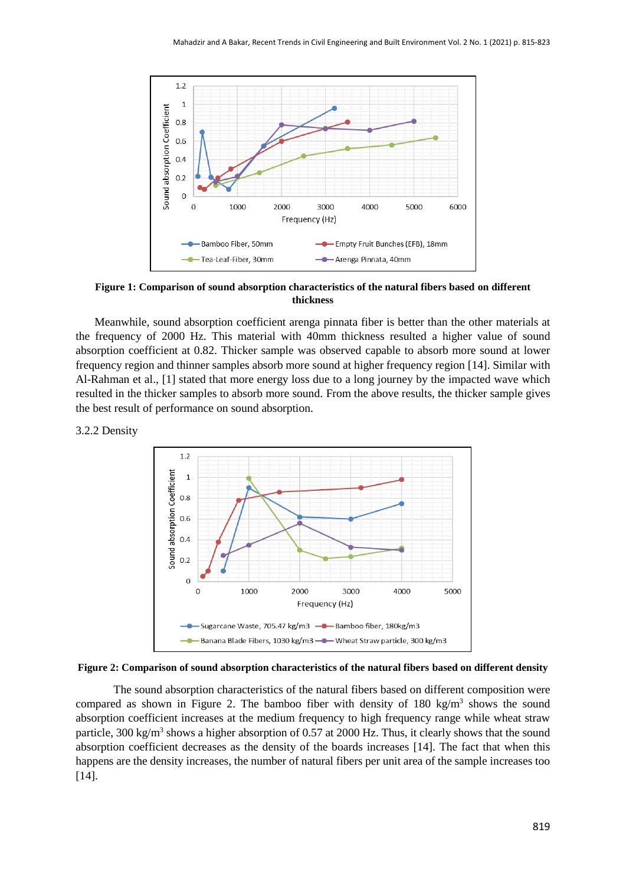

**Figure 1: Comparison of sound absorption characteristics of the natural fibers based on different thickness**

Meanwhile, sound absorption coefficient arenga pinnata fiber is better than the other materials at the frequency of 2000 Hz. This material with 40mm thickness resulted a higher value of sound absorption coefficient at 0.82. Thicker sample was observed capable to absorb more sound at lower frequency region and thinner samples absorb more sound at higher frequency region [14]. Similar with Al-Rahman et al., [1] stated that more energy loss due to a long journey by the impacted wave which resulted in the thicker samples to absorb more sound. From the above results, the thicker sample gives the best result of performance on sound absorption.

## 3.2.2 Density





The sound absorption characteristics of the natural fibers based on different composition were compared as shown in Figure 2. The bamboo fiber with density of  $180 \text{ kg/m}^3$  shows the sound absorption coefficient increases at the medium frequency to high frequency range while wheat straw particle, 300 kg/m<sup>3</sup> shows a higher absorption of 0.57 at 2000 Hz. Thus, it clearly shows that the sound absorption coefficient decreases as the density of the boards increases [14]. The fact that when this happens are the density increases, the number of natural fibers per unit area of the sample increases too [14].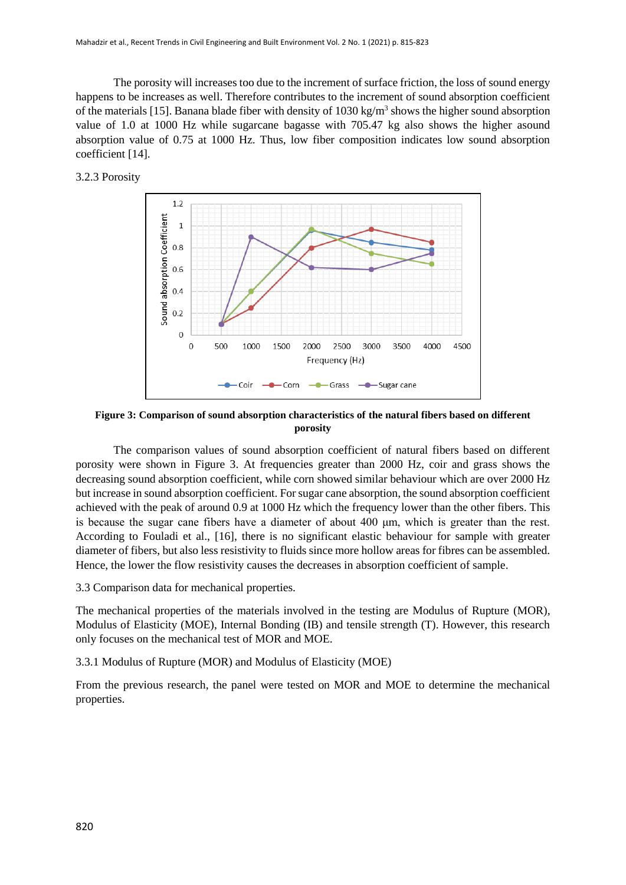The porosity will increases too due to the increment of surface friction, the loss of sound energy happens to be increases as well. Therefore contributes to the increment of sound absorption coefficient of the materials [15]. Banana blade fiber with density of 1030 kg/m<sup>3</sup> shows the higher sound absorption value of 1.0 at 1000 Hz while sugarcane bagasse with 705.47 kg also shows the higher asound absorption value of 0.75 at 1000 Hz. Thus, low fiber composition indicates low sound absorption coefficient [14].

3.2.3 Porosity



**Figure 3: Comparison of sound absorption characteristics of the natural fibers based on different porosity**

The comparison values of sound absorption coefficient of natural fibers based on different porosity were shown in Figure 3. At frequencies greater than 2000 Hz, coir and grass shows the decreasing sound absorption coefficient, while corn showed similar behaviour which are over 2000 Hz but increase in sound absorption coefficient. For sugar cane absorption, the sound absorption coefficient achieved with the peak of around 0.9 at 1000 Hz which the frequency lower than the other fibers. This is because the sugar cane fibers have a diameter of about 400 μm, which is greater than the rest. According to Fouladi et al., [16], there is no significant elastic behaviour for sample with greater diameter of fibers, but also less resistivity to fluids since more hollow areas for fibres can be assembled. Hence, the lower the flow resistivity causes the decreases in absorption coefficient of sample.

3.3 Comparison data for mechanical properties.

The mechanical properties of the materials involved in the testing are Modulus of Rupture (MOR), Modulus of Elasticity (MOE), Internal Bonding (IB) and tensile strength (T). However, this research only focuses on the mechanical test of MOR and MOE.

3.3.1 Modulus of Rupture (MOR) and Modulus of Elasticity (MOE)

From the previous research, the panel were tested on MOR and MOE to determine the mechanical properties.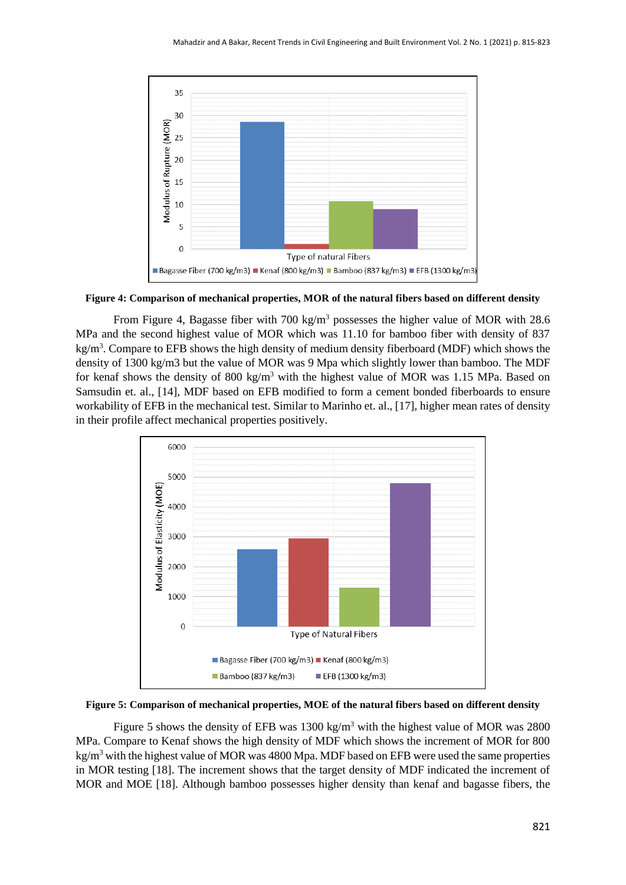

**Figure 4: Comparison of mechanical properties, MOR of the natural fibers based on different density**

From Figure 4, Bagasse fiber with 700 kg/m<sup>3</sup> possesses the higher value of MOR with 28.6 MPa and the second highest value of MOR which was 11.10 for bamboo fiber with density of 837 kg/m<sup>3</sup>. Compare to EFB shows the high density of medium density fiberboard (MDF) which shows the density of 1300 kg/m3 but the value of MOR was 9 Mpa which slightly lower than bamboo. The MDF for kenaf shows the density of 800 kg/m<sup>3</sup> with the highest value of MOR was 1.15 MPa. Based on Samsudin et. al., [14], MDF based on EFB modified to form a cement bonded fiberboards to ensure workability of EFB in the mechanical test. Similar to Marinho et. al., [17], higher mean rates of density in their profile affect mechanical properties positively.



**Figure 5: Comparison of mechanical properties, MOE of the natural fibers based on different density**

Figure 5 shows the density of EFB was  $1300 \text{ kg/m}^3$  with the highest value of MOR was 2800 MPa. Compare to Kenaf shows the high density of MDF which shows the increment of MOR for 800  $kg/m<sup>3</sup>$  with the highest value of MOR was 4800 Mpa. MDF based on EFB were used the same properties in MOR testing [18]. The increment shows that the target density of MDF indicated the increment of MOR and MOE [18]. Although bamboo possesses higher density than kenaf and bagasse fibers, the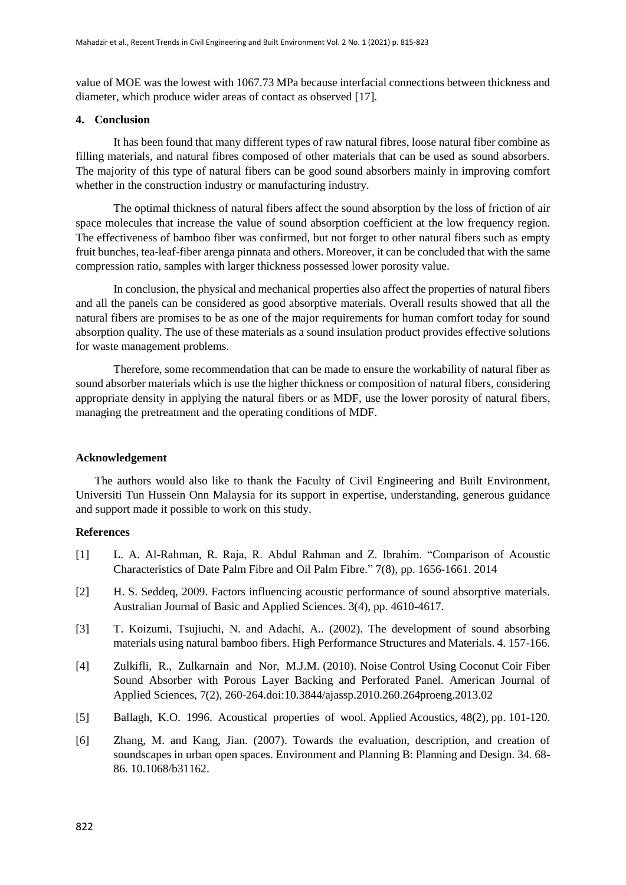value of MOE was the lowest with 1067.73 MPa because interfacial connections between thickness and diameter, which produce wider areas of contact as observed [17].

## **4. Conclusion**

It has been found that many different types of raw natural fibres, loose natural fiber combine as filling materials, and natural fibres composed of other materials that can be used as sound absorbers. The majority of this type of natural fibers can be good sound absorbers mainly in improving comfort whether in the construction industry or manufacturing industry.

The optimal thickness of natural fibers affect the sound absorption by the loss of friction of air space molecules that increase the value of sound absorption coefficient at the low frequency region. The effectiveness of bamboo fiber was confirmed, but not forget to other natural fibers such as empty fruit bunches, tea-leaf-fiber arenga pinnata and others. Moreover, it can be concluded that with the same compression ratio, samples with larger thickness possessed lower porosity value.

In conclusion, the physical and mechanical properties also affect the properties of natural fibers and all the panels can be considered as good absorptive materials. Overall results showed that all the natural fibers are promises to be as one of the major requirements for human comfort today for sound absorption quality. The use of these materials as a sound insulation product provides effective solutions for waste management problems.

Therefore, some recommendation that can be made to ensure the workability of natural fiber as sound absorber materials which is use the higher thickness or composition of natural fibers, considering appropriate density in applying the natural fibers or as MDF, use the lower porosity of natural fibers, managing the pretreatment and the operating conditions of MDF.

## **Acknowledgement**

The authors would also like to thank the Faculty of Civil Engineering and Built Environment, Universiti Tun Hussein Onn Malaysia for its support in expertise, understanding, generous guidance and support made it possible to work on this study.

#### **References**

- [1] L. A. Al-Rahman, R. Raja, R. Abdul Rahman and Z. Ibrahim. "Comparison of Acoustic Characteristics of Date Palm Fibre and Oil Palm Fibre." 7(8), pp. 1656-1661. 2014
- [2] H. S. Seddeq, 2009. Factors influencing acoustic performance of sound absorptive materials. Australian Journal of Basic and Applied Sciences. 3(4), pp. 4610-4617.
- [3] T. Koizumi, Tsujiuchi, N. and Adachi, A.. (2002). The development of sound absorbing materials using natural bamboo fibers. High Performance Structures and Materials. 4. 157-166.
- [4] Zulkifli, R., Zulkarnain and Nor, M.J.M. (2010). Noise Control Using Coconut Coir Fiber Sound Absorber with Porous Layer Backing and Perforated Panel. American Journal of Applied Sciences, 7(2), 260-264.doi:10.3844/ajassp.2010.260.264proeng.2013.02
- [5] Ballagh, K.O. 1996. Acoustical properties of wool. Applied Acoustics, 48(2), pp. 101-120.
- [6] Zhang, M. and Kang, Jian. (2007). Towards the evaluation, description, and creation of soundscapes in urban open spaces. Environment and Planning B: Planning and Design. 34. 68- 86. 10.1068/b31162.